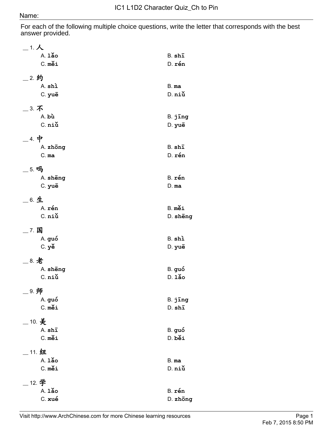For each of the following multiple choice questions, write the letter that corresponds with the best answer provided.

| 1. 人              |             |
|-------------------|-------------|
| $A.1$ ảo          | B. shī      |
| C. měi            | D. rén      |
|                   |             |
| _2. 约             |             |
| A. shì            | B. ma       |
| C. yuē            | $D.$ $n$ iú |
|                   |             |
| _3. 不             |             |
| A. bù             | B. jīng     |
| C. niù            | D. yuē      |
| $\_$ 4. 中         |             |
| A. zhong          | B. shī      |
| $C.$ ma           | D. rén      |
| _ 5. 吗            |             |
| A. sheng          | B. rén      |
| C. yuē            | $D.$ ma     |
|                   |             |
| _ 6. 生            |             |
| A. rén            | B. měi      |
| C. niù            | D. sheng    |
| __ 7. 国           |             |
| A. guó            | B. shì      |
| $C.$ $y\check{e}$ | D. yuē      |
|                   |             |
| _ 8. 老            |             |
| A. sheng          | B. guó      |
| $C.$ niú          | $D.1$ ǎo    |
| _ 9. 师            |             |
| A. guó            | B. jīng     |
| C. měi            | D. shi      |
|                   |             |
| _10. 美            |             |
| A. shī            | B. guó      |
| C. měi            | D. běi      |
| 11. 纽             |             |
| $A.1$ ảo          | B. ma       |
| C. měi            | D. niù      |
|                   |             |
| 12. 学<br>$A.1$ ảo |             |
|                   | B. rén      |
| C. xué            | D. zhong    |